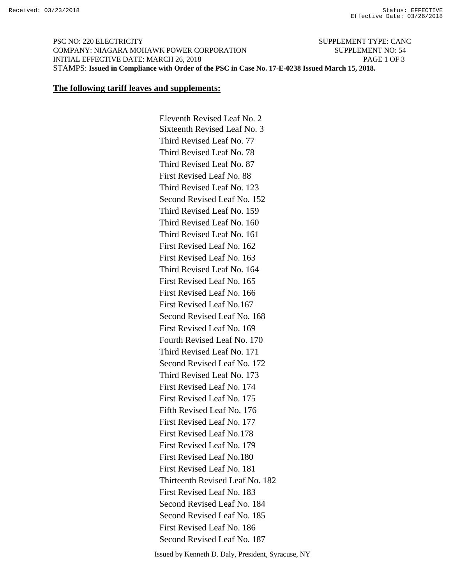PSC NO: 220 ELECTRICITY SUPPLEMENT TYPE: CANC COMPANY: NIAGARA MOHAWK POWER CORPORATION SUPPLEMENT NO: 54 INITIAL EFFECTIVE DATE: MARCH 26, 2018 PAGE 1 OF 3 STAMPS: **Issued in Compliance with Order of the PSC in Case No. 17-E-0238 Issued March 15, 2018.**

## **The following tariff leaves and supplements:**

 Eleventh Revised Leaf No. 2 Sixteenth Revised Leaf No. 3 Third Revised Leaf No. 77 Third Revised Leaf No. 78 Third Revised Leaf No. 87 First Revised Leaf No. 88 Third Revised Leaf No. 123 Second Revised Leaf No. 152 Third Revised Leaf No. 159 Third Revised Leaf No. 160 Third Revised Leaf No. 161 First Revised Leaf No. 162 First Revised Leaf No. 163 Third Revised Leaf No. 164 First Revised Leaf No. 165 First Revised Leaf No. 166 First Revised Leaf No.167 Second Revised Leaf No. 168 First Revised Leaf No. 169 Fourth Revised Leaf No. 170 Third Revised Leaf No. 171 Second Revised Leaf No. 172 Third Revised Leaf No. 173 First Revised Leaf No. 174 First Revised Leaf No. 175 Fifth Revised Leaf No. 176 First Revised Leaf No. 177 First Revised Leaf No.178 First Revised Leaf No. 179 First Revised Leaf No.180 First Revised Leaf No. 181 Thirteenth Revised Leaf No. 182 First Revised Leaf No. 183 Second Revised Leaf No. 184 Second Revised Leaf No. 185 First Revised Leaf No. 186 Second Revised Leaf No. 187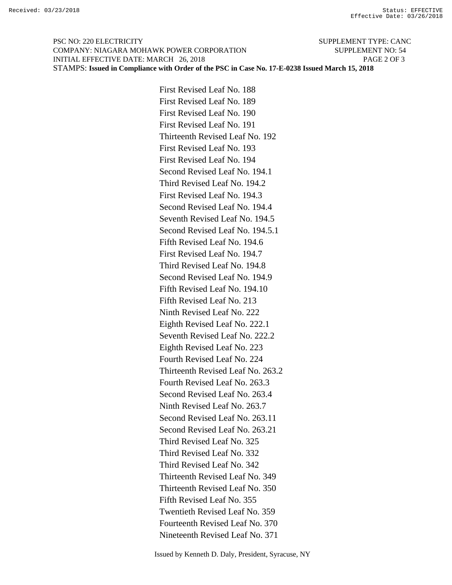PSC NO: 220 ELECTRICITY SUPPLEMENT TYPE: CANC COMPANY: NIAGARA MOHAWK POWER CORPORATION SUPPLEMENT NO: 54 INITIAL EFFECTIVE DATE: MARCH 26, 2018 PAGE 2 OF 3 STAMPS: **Issued in Compliance with Order of the PSC in Case No. 17-E-0238 Issued March 15, 2018**

> First Revised Leaf No. 188 First Revised Leaf No. 189 First Revised Leaf No. 190 First Revised Leaf No. 191 Thirteenth Revised Leaf No. 192 First Revised Leaf No. 193 First Revised Leaf No. 194 Second Revised Leaf No. 194.1 Third Revised Leaf No. 194.2 First Revised Leaf No. 194.3 Second Revised Leaf No. 194.4 Seventh Revised Leaf No. 194.5 Second Revised Leaf No. 194.5.1 Fifth Revised Leaf No. 194.6 First Revised Leaf No. 194.7 Third Revised Leaf No. 194.8 Second Revised Leaf No. 194.9 Fifth Revised Leaf No. 194.10 Fifth Revised Leaf No. 213 Ninth Revised Leaf No. 222 Eighth Revised Leaf No. 222.1 Seventh Revised Leaf No. 222.2 Eighth Revised Leaf No. 223 Fourth Revised Leaf No. 224 Thirteenth Revised Leaf No. 263.2 Fourth Revised Leaf No. 263.3 Second Revised Leaf No. 263.4 Ninth Revised Leaf No. 263.7 Second Revised Leaf No. 263.11 Second Revised Leaf No. 263.21 Third Revised Leaf No. 325 Third Revised Leaf No. 332 Third Revised Leaf No. 342 Thirteenth Revised Leaf No. 349 Thirteenth Revised Leaf No. 350 Fifth Revised Leaf No. 355 Twentieth Revised Leaf No. 359 Fourteenth Revised Leaf No. 370 Nineteenth Revised Leaf No. 371